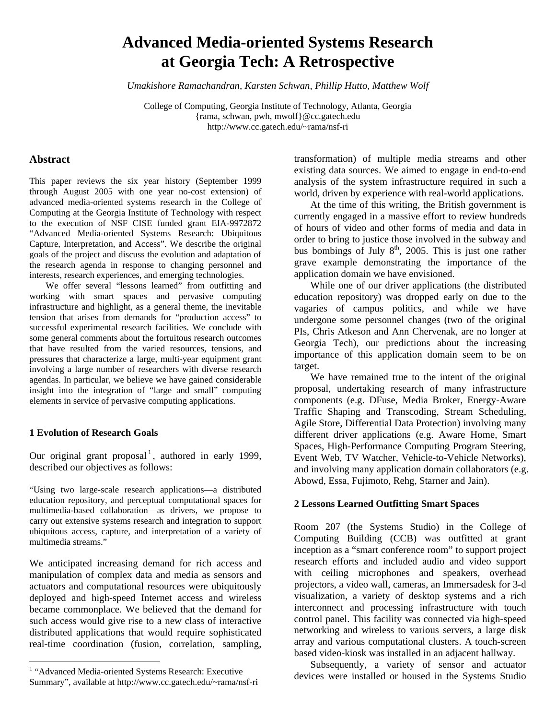# **Advanced Media-oriented Systems Research at Georgia Tech: A Retrospective**

*Umakishore Ramachandran, Karsten Schwan, Phillip Hutto, Matthew Wolf* 

College of Computing, Georgia Institute of Technology, Atlanta, Georgia {rama, schwan, pwh, mwolf}@cc.gatech.edu http://www.cc.gatech.edu/~rama/nsf-ri

## **Abstract**

This paper reviews the six year history (September 1999 through August 2005 with one year no-cost extension) of advanced media-oriented systems research in the College of Computing at the Georgia Institute of Technology with respect to the execution of NSF CISE funded grant EIA-9972872 "Advanced Media-oriented Systems Research: Ubiquitous Capture, Interpretation, and Access". We describe the original goals of the project and discuss the evolution and adaptation of the research agenda in response to changing personnel and interests, research experiences, and emerging technologies.

 We offer several "lessons learned" from outfitting and working with smart spaces and pervasive computing infrastructure and highlight, as a general theme, the inevitable tension that arises from demands for "production access" to successful experimental research facilities. We conclude with some general comments about the fortuitous research outcomes that have resulted from the varied resources, tensions, and pressures that characterize a large, multi-year equipment grant involving a large number of researchers with diverse research agendas. In particular, we believe we have gained considerable insight into the integration of "large and small" computing elements in service of pervasive computing applications.

### **1 Evolution of Research Goals**

l

Our original grant proposal<sup>[1](#page-0-0)</sup>, authored in early 1999, described our objectives as follows:

"Using two large-scale research applications—a distributed education repository, and perceptual computational spaces for multimedia-based collaboration—as drivers, we propose to carry out extensive systems research and integration to support ubiquitous access, capture, and interpretation of a variety of multimedia streams."

We anticipated increasing demand for rich access and manipulation of complex data and media as sensors and actuators and computational resources were ubiquitously deployed and high-speed Internet access and wireless became commonplace. We believed that the demand for such access would give rise to a new class of interactive distributed applications that would require sophisticated real-time coordination (fusion, correlation, sampling,

transformation) of multiple media streams and other existing data sources. We aimed to engage in end-to-end analysis of the system infrastructure required in such a world, driven by experience with real-world applications.

 At the time of this writing, the British government is currently engaged in a massive effort to review hundreds of hours of video and other forms of media and data in order to bring to justice those involved in the subway and bus bombings of July  $8<sup>th</sup>$ , 2005. This is just one rather grave example demonstrating the importance of the application domain we have envisioned.

 While one of our driver applications (the distributed education repository) was dropped early on due to the vagaries of campus politics, and while we have undergone some personnel changes (two of the original PIs, Chris Atkeson and Ann Chervenak, are no longer at Georgia Tech), our predictions about the increasing importance of this application domain seem to be on target.

 We have remained true to the intent of the original proposal, undertaking research of many infrastructure components (e.g. DFuse, Media Broker, Energy-Aware Traffic Shaping and Transcoding, Stream Scheduling, Agile Store, Differential Data Protection) involving many different driver applications (e.g. Aware Home, Smart Spaces, High-Performance Computing Program Steering, Event Web, TV Watcher, Vehicle-to-Vehicle Networks), and involving many application domain collaborators (e.g. Abowd, Essa, Fujimoto, Rehg, Starner and Jain).

#### **2 Lessons Learned Outfitting Smart Spaces**

Room 207 (the Systems Studio) in the College of Computing Building (CCB) was outfitted at grant inception as a "smart conference room" to support project research efforts and included audio and video support with ceiling microphones and speakers, overhead projectors, a video wall, cameras, an Immersadesk for 3-d visualization, a variety of desktop systems and a rich interconnect and processing infrastructure with touch control panel. This facility was connected via high-speed networking and wireless to various servers, a large disk array and various computational clusters. A touch-screen based video-kiosk was installed in an adjacent hallway.

 Subsequently, a variety of sensor and actuator devices were installed or housed in the Systems Studio

<span id="page-0-0"></span><sup>&</sup>lt;sup>1</sup> "Advanced Media-oriented Systems Research: Executive Summary", available at http://www.cc.gatech.edu/~rama/nsf-ri